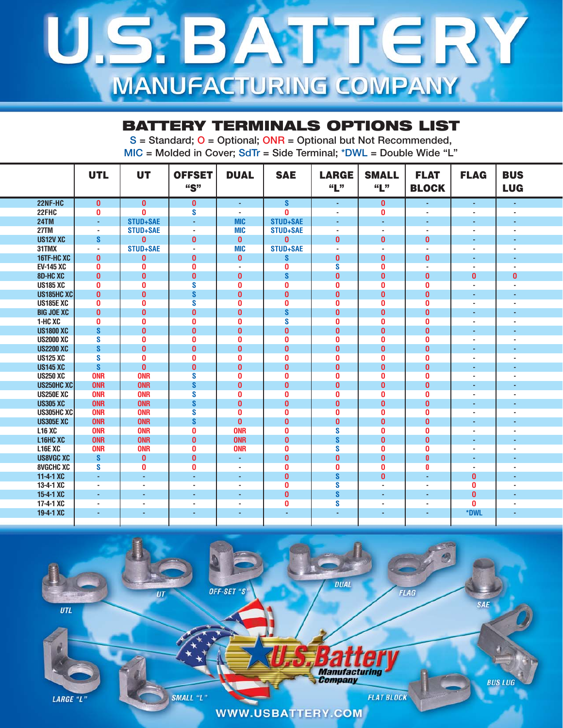# U.S. BATTERY **MANUFACTURING COMPANY**

### **BATTERY TERMINALS OPTIONS LIST**

**S = Standard; O = Optional; ONR = Optional but Not Recommended, MIC = Molded in Cover; SdTr = Side Terminal; \*DWL = Double Wide "L"**

|                   | <b>UTL</b>              | <b>UT</b>       | <b>OFFSET</b><br>"S"    | <b>DUAL</b>  | <b>SAE</b>              | <b>LARGE</b><br>``L"    | <b>SMALL</b><br>``L" | <b>FLAT</b><br><b>BLOCK</b> | <b>FLAG</b>              | <b>BUS</b><br><b>LUG</b> |  |
|-------------------|-------------------------|-----------------|-------------------------|--------------|-------------------------|-------------------------|----------------------|-----------------------------|--------------------------|--------------------------|--|
| 22NF-HC           | $\pmb{0}$               | $\mathbf{0}$    | $\mathbf{0}$            | ÷.           | $\mathbf{s}$            | ٠                       | $\mathbf{0}$         | ÷                           | $\sim$                   |                          |  |
| 22FHC             | 0                       | $\Omega$        | S                       |              | n                       | $\sim$                  | $\mathbf{0}$         |                             |                          |                          |  |
| <b>24TM</b>       | $\sim$                  | <b>STUD+SAE</b> | ÷.                      | <b>MIC</b>   | <b>STUD+SAE</b>         | ٠                       | ÷                    | ٠                           | ٠                        | ٠                        |  |
| 27TM              | ÷,                      | <b>STUD+SAE</b> | ÷.                      | <b>MIC</b>   | <b>STUD+SAE</b>         | ÷.                      | ÷.                   |                             |                          |                          |  |
| <b>US12V XC</b>   | <sub>S</sub>            | $\mathbf{0}$    | $\mathbf{0}$            | $\mathbf{0}$ | $\mathbf{0}$            | $\mathbf{0}$            | $\mathbf{0}$         | $\mathbf{0}$                | ÷                        | ٠                        |  |
| 31TMX             | ÷                       | <b>STUD+SAE</b> | $\bar{a}$               | <b>MIC</b>   | <b>STUD+SAE</b>         | $\sim$                  | ÷                    | ×                           | $\overline{\phantom{a}}$ | $\blacksquare$           |  |
| 16TF-HC XC        | $\mathbf{0}$            | $\bf{0}$        | $\mathbf{0}$            | $\mathbf{0}$ | S                       | $\mathbf{0}$            | $\bf{0}$             | $\mathbf{0}$                | ٠                        | ٠                        |  |
| <b>EV-145 XC</b>  | 0                       | $\mathbf{0}$    | $\bf{0}$                | ÷.           | 0                       | S                       | $\Omega$             |                             |                          | $\blacksquare$           |  |
| 8D-HCXC           | $\bf{0}$                | $\mathbf{0}$    | $\mathbf{0}$            | $\bf{0}$     | $\mathbf{s}$            | $\mathbf{0}$            | $\mathbf{0}$         | $\mathbf{0}$                | $\mathbf{0}$             | $\bf{0}$                 |  |
| <b>US185 XC</b>   | $\bf{0}$                | $\mathbf{0}$    | S                       | $\bf{0}$     | $\bf{0}$                | $\mathbf{0}$            | $\mathbf{0}$         | $\mathbf{0}$                | $\sim$                   | $\blacksquare$           |  |
| <b>US185HC XC</b> | $\pmb{0}$               | $\bf{0}$        | S                       | $\bf{0}$     | $\pmb{0}$               | $\mathbf{0}$            | $\mathbf{0}$         | $\bf{0}$                    | ÷.                       | $\sim$                   |  |
| <b>US185E XC</b>  | $\bf{0}$                | $\mathbf{0}$    | $\overline{\mathbf{s}}$ | $\bf{0}$     | $\bf{0}$                | $\mathbf{0}$            | $\mathbf{0}$         | 0                           |                          |                          |  |
| <b>BIG JOE XC</b> | $\bf{0}$                | $\mathbf{0}$    | $\bf{0}$                | $\bf{0}$     | $\mathbf{s}$            | $\mathbf{0}$            | $\mathbf{0}$         | $\bf{0}$                    |                          |                          |  |
| 1-HC XC           | $\bf{0}$                | $\mathbf{0}$    | $\bf{0}$                | $\mathbf{0}$ | S                       | $\mathbf{0}$            | $\mathbf{0}$         | $\mathbf{0}$                | $\sim$                   | $\sim$                   |  |
| <b>US1800 XC</b>  | $\mathbf{s}$            | $\mathbf{0}$    | $\mathbf{0}$            | $\bf{0}$     | $\pmb{0}$               | $\mathbf{0}$            | $\mathbf{0}$         | $\mathbf{0}$                | ÷                        |                          |  |
| <b>US2000 XC</b>  | S                       | $\mathbf{0}$    | $\mathbf{0}$            | $\bf{0}$     | 0                       | $\mathbf{0}$            | $\mathbf{0}$         | $\Omega$                    |                          |                          |  |
| <b>US2200 XC</b>  | S                       | $\mathbf{0}$    | $\mathbf{0}$            | $\bf{0}$     | $\bf{0}$                | $\mathbf{0}$            | $\mathbf{0}$         | $\bf{0}$                    |                          |                          |  |
| <b>US125 XC</b>   | $\overline{\mathbf{s}}$ | $\mathbf{0}$    | $\mathbf{0}$            | $\mathbf{0}$ | 0                       | $\mathbf{0}$            | $\Omega$             | $\Omega$                    |                          | $\blacksquare$           |  |
| <b>US145 XC</b>   | $\mathbf{s}$            | $\mathbf{0}$    | $\mathbf{0}$            | $\bf{0}$     | $\bf{0}$                | $\mathbf{0}$            | $\mathbf{0}$         | $\mathbf{0}$                | ÷.                       | ÷                        |  |
| <b>US250 XC</b>   | <b>ONR</b>              | <b>ONR</b>      | S                       | $\mathbf{0}$ | $\bf{0}$                | $\mathbf{0}$            | $\bf{0}$             | $\bf{0}$                    |                          | $\sim$                   |  |
| US250HC XC        | <b>ONR</b>              | <b>ONR</b>      | S                       | $\bf{0}$     | $\pmb{0}$               | $\mathbf{0}$            | $\mathbf{0}$         | $\bf{0}$                    | ×.                       | ٠                        |  |
| <b>US250E XC</b>  | <b>ONR</b>              | <b>ONR</b>      | S                       | $\mathbf{0}$ | $\bf{0}$                | $\mathbf{0}$            | $\Omega$             | 0                           |                          |                          |  |
| <b>US305 XC</b>   | <b>ONR</b>              | <b>ONR</b>      | S                       | $\bf{0}$     | $\bf{0}$                | $\mathbf{0}$            | $\bf{0}$             | $\mathbf{0}$                | ÷                        | ٠                        |  |
| US305HC XC        | <b>ONR</b>              | <b>ONR</b>      | S                       | $\mathbf{0}$ | 0                       | $\mathbf{0}$            | $\mathbf{0}$         | $\mathbf{0}$                |                          | $\blacksquare$           |  |
| <b>US305E XC</b>  | <b>ONR</b>              | <b>ONR</b>      | $\mathbf{s}$            | $\bf{0}$     | $\bf{0}$                | $\mathbf{0}$            | $\mathbf{0}$         | $\mathbf{0}$                | ٠                        | ٠                        |  |
| <b>L16 XC</b>     | <b>ONR</b>              | <b>ONR</b>      | $\mathbf{0}$            | <b>ONR</b>   | $\bf{0}$                | S                       | $\mathbf{0}$         | 0                           |                          |                          |  |
| L16HC XC          | <b>ONR</b>              | <b>ONR</b>      | $\mathbf{0}$            | <b>ONR</b>   | $\pmb{0}$               | $\mathbf{s}$            | $\mathbf{0}$         | $\mathbf{0}$                |                          | ٠                        |  |
| <b>L16E XC</b>    | <b>ONR</b>              | <b>ONR</b>      | $\mathbf{0}$            | <b>ONR</b>   | $\bf{0}$                | $\mathbf{s}$            | $\mathbf{0}$         | $\mathbf{0}$                | $\sim$                   | $\blacksquare$           |  |
| <b>US8VGC XC</b>  | S                       | $\bf{0}$        | $\mathbf{0}$            | ×.           | $\pmb{0}$               | $\mathbf{0}$            | $\mathbf{0}$         | $\mathbf{0}$                | ÷.                       | ٠                        |  |
| <b>8VGCHC XC</b>  | S                       | $\bf{0}$        | $\mathbf{0}$            | ÷            | 0                       | $\mathbf{0}$            | $\bf{0}$             | 0                           |                          |                          |  |
| 11-4-1 XC         | ä,                      | $\sim$          | ä,                      | ٠            | $\bf{0}$                | <sub>S</sub>            | $\mathbf{0}$         | ٠                           | 0                        |                          |  |
| $13-4-1$ XC       | $\sim$                  | ٠               | ÷.                      | ٠            | $\overline{\mathbf{0}}$ | $\overline{\mathbf{s}}$ | ÷.                   |                             | $\overline{0}$           |                          |  |
| 15-4-1 XC         | $\sim$                  | ٠               | ä,                      | ÷.           | $\bf{0}$                | $\mathbf{s}$            | ÷.                   | ٠                           | $\mathbf{0}$             | ٠                        |  |
| 17-4-1 XC         | $\blacksquare$          | $\blacksquare$  | ä,                      | ٠            | 0                       | S                       |                      | ٠                           | 0                        | $\blacksquare$           |  |
| 19-4-1 XC         | ٠                       | ٠               | ٠                       | ٠            | ٠                       | ٠                       | ٠                    | ۰                           | *DWL                     |                          |  |
|                   |                         |                 |                         |              |                         |                         |                      |                             |                          |                          |  |

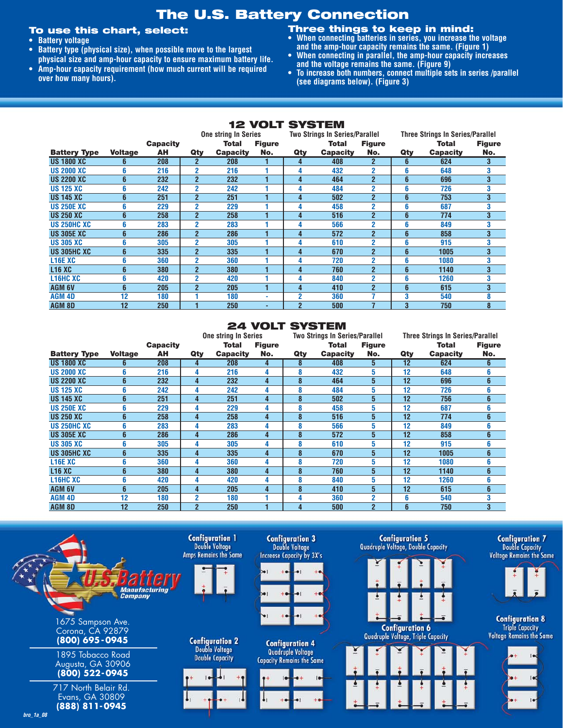### **The U.S. Battery Connection**

#### **To use this chart, select:**

- **Battery voltage**
- **Battery type (physical size), when possible move to the largest physical size and amp-hour capacity to ensure maximum battery life.**
- **Amp-hour capacity requirement (how much current will be required over how many hours).**
- **Three things to keep in mind:**
- **When connecting batteries in series, you increase the voltage and the amp-hour capacity remains the same. (Figure 1)**
- **When connecting in parallel, the amp-hour capacity increases and the voltage remains the same. (Figure 9)**
- **To increase both numbers, connect multiple sets in series /parallel (see diagrams below). (Figure 3)**

#### **12 VOLT SYSTEM**

|                                               |                |                 | <b>One string In Series</b> |                 |               | <b>Two Strings In Series/Parallel</b> | <b>Three Strings In Series/Parallel</b> |                |                |                 |               |
|-----------------------------------------------|----------------|-----------------|-----------------------------|-----------------|---------------|---------------------------------------|-----------------------------------------|----------------|----------------|-----------------|---------------|
|                                               |                | <b>Capacity</b> |                             | Total           | <b>Figure</b> |                                       | Total                                   | <b>Figure</b>  |                | <b>Total</b>    | <b>Figure</b> |
| <b>Battery Type</b>                           | <b>Voltage</b> | AH              | Qty                         | <b>Capacity</b> | No.           | Qty                                   | <b>Capacity</b>                         | No.            | Qty            | <b>Capacity</b> | No.           |
| <b>US 1800 XC</b>                             | 6              | 208             | 2                           | 208             |               | 4                                     | 408                                     | $\overline{2}$ | 6              | 624             | 3             |
| <b>US 2000 XC</b>                             | 6              | 216             | 2                           | 216             |               |                                       | 432                                     | 2              | 6              | 648             | 3             |
| <b>US 2200 XC</b>                             | 6              | 232             | $\overline{2}$              | 232             |               | 4                                     | 464                                     | $\overline{2}$ | 6              | 696             | 3             |
| <b>US 125 XC</b>                              | 6              | 242             | 2                           | 242             |               | 4                                     | 484                                     | 2              | 6              | 726             | 3             |
| <b>US 145 XC</b>                              | 6              | 251             | $\overline{2}$              | 251             |               | 4                                     | 502                                     | $\overline{2}$ | 6              | 753             | 3             |
| <b>US 250E XC</b>                             | 6              | 229             | 2                           | 229             |               | 4                                     | 458                                     | 2              | 6              | 687             | 3             |
| <b>US 250 XC</b>                              | 6              | 258             | $\overline{2}$              | 258             |               | 4                                     | 516                                     | $\overline{2}$ | $6\phantom{1}$ | 774             | 3             |
| <b>US 250HC XC</b>                            | 6              | 283             | 2                           | 283             |               | 4                                     | 566                                     | 2              | 6              | 849             | 3             |
| <b>US 305E XC</b>                             | 6              | 286             | $\overline{2}$              | 286             |               | 4                                     | 572                                     | $\overline{2}$ | 6              | 858             | 3             |
| <b>US 305 XC</b>                              | 6              | 305             | 2                           | 305             |               | 4                                     | 610                                     | 2              | 6              | 915             | 3             |
| US 305HC XC                                   | 6              | 335             | $\overline{2}$              | 335             |               | 4                                     | 670                                     | $\overline{2}$ | 6              | 1005            | 3             |
| <b>L16E XC</b>                                | 6              | 360             | 2                           | 360             |               | 4                                     | 720                                     | 2              | 6              | 1080            | 3             |
| <b>L16 XC</b>                                 | 6              | 380             | $\overline{2}$              | 380             |               | 4                                     | 760                                     | $\overline{2}$ | 6              | 1140            | 3             |
| L <sub>16</sub> H <sub>C</sub> X <sub>C</sub> | 6              | 420             | $\overline{2}$              | 420             |               | 4                                     | 840                                     | 2              | 6              | 1260            | 3             |
| <b>AGM 6V</b>                                 | 6              | 205             | $\overline{2}$              | 205             |               | 4                                     | 410                                     | $\overline{2}$ | $6\phantom{1}$ | 615             | 3             |
| <b>AGM 4D</b>                                 | 12             | 180             |                             | 180             | ٠             | 2                                     | 360                                     |                | 3              | 540             | 8             |
| <b>AGM 8D</b>                                 | 12             | 250             |                             | 250             |               | $\overline{2}$                        | 500                                     |                | 3              | 750             | 8             |

#### **24 VOLT SYSTEM**

|                       |                |                 | <b>One string In Series</b> |                 |                         |     | <b>Two Strings In Series/Parallel</b> |                | <b>Three Strings In Series/Parallel</b> |                 |               |
|-----------------------|----------------|-----------------|-----------------------------|-----------------|-------------------------|-----|---------------------------------------|----------------|-----------------------------------------|-----------------|---------------|
|                       |                | <b>Capacity</b> |                             | Total           | <b>Figure</b>           |     | Total                                 | <b>Figure</b>  |                                         | Total           | <b>Figure</b> |
| <b>Battery Type</b>   | <b>Voltage</b> | AH              | Qty                         | <b>Capacity</b> | No.                     | Qty | <b>Capacity</b>                       | No.            | Qty                                     | <b>Capacity</b> | No.           |
| <b>US 1800 XC</b>     | 6              | 208             | 4                           | 208             | 4                       | 8   | 408                                   | 5              | $\overline{12}$                         | 624             | 6             |
| <b>US 2000 XC</b>     | 6              | 216             | 4                           | 216             | 4                       | 8   | 432                                   | 5              | 12                                      | 648             | 6             |
| <b>US 2200 XC</b>     | $6\phantom{1}$ | 232             | 4                           | 232             | 4                       | 8   | 464                                   | 5              | 12                                      | 696             | 6             |
| <b>US 125 XC</b>      | 6              | 242             | 4                           | 242             | 4                       | 8   | 484                                   | 5              | 12                                      | 726             | 6             |
| <b>US 145 XC</b>      | $6\phantom{1}$ | 251             | 4                           | 251             | 4                       | 8   | 502                                   | 5              | 12                                      | 756             | 6             |
| <b>US 250E XC</b>     | 6              | 229             | 4                           | 229             | 4                       | 8   | 458                                   | 5              | 12                                      | 687             | 6             |
| <b>US 250 XC</b>      | $6\phantom{1}$ | 258             | 4                           | 258             | $\overline{\mathbf{4}}$ | 8   | 516                                   | 5              | 12                                      | 774             | 6             |
| <b>US 250HC XC</b>    | 6              | 283             | 4                           | 283             | 4                       | 8   | 566                                   | 5              | 12                                      | 849             | 6             |
| <b>US 305E XC</b>     | $6\phantom{1}$ | 286             | 4                           | 286             | 4                       | 8   | 572                                   | 5              | 12                                      | 858             | 6             |
| <b>US 305 XC</b>      | 6              | 305             | 4                           | 305             | 4                       | 8   | 610                                   | 5              | 12                                      | 915             | 6             |
| US 305HC XC           | $6\phantom{1}$ | 335             | 4                           | 335             | 4                       | 8   | 670                                   | 5              | 12                                      | 1005            | 6             |
| <b>L16E XC</b>        | 6              | 360             | 4                           | 360             | 4                       | 8   | 720                                   | 5              | 12                                      | 1080            | 6             |
| <b>L16 XC</b>         | $6\phantom{1}$ | 380             | 4                           | 380             | 4                       | 8   | 760                                   | 5              | 12                                      | 1140            | 6             |
| L <sub>16</sub> HC XC | 6              | 420             | 4                           | 420             | 4                       | 8   | 840                                   | 5              | 12                                      | 1260            | 6             |
| <b>AGM 6V</b>         | $6\phantom{1}$ | 205             | 4                           | 205             | 4                       | 8   | 410                                   | 5              | 12                                      | 615             | 6             |
| <b>AGM 4D</b>         | 12             | 180             | 2                           | 180             |                         | 4   | 360                                   | 2              | 6                                       | 540             | 3             |
| AGM <sub>8D</sub>     | 12             | 250             | $\overline{2}$              | 250             |                         | 4   | 500                                   | $\overline{2}$ | 6                                       | 750             | 3             |

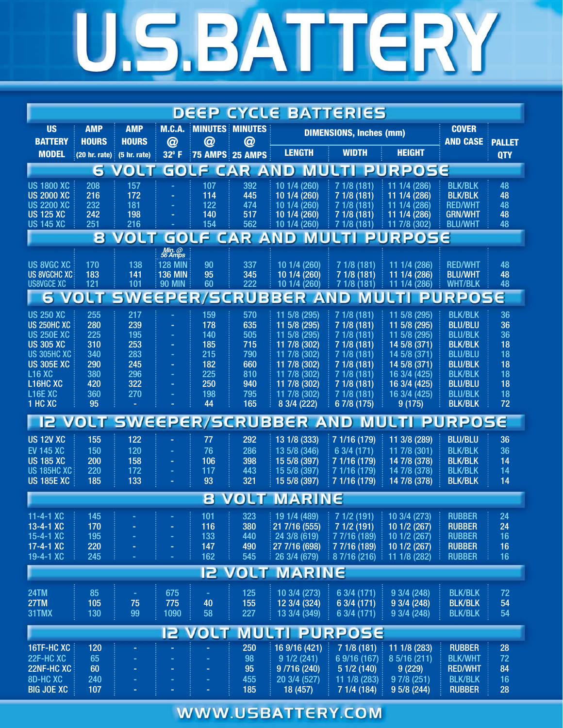# U.S.BATTERY

| <b>DEEP CYCLE BATTERIES</b>                                    |                            |                            |                                    |                 |                                         |                                           |                                |                                   |                                  |               |  |
|----------------------------------------------------------------|----------------------------|----------------------------|------------------------------------|-----------------|-----------------------------------------|-------------------------------------------|--------------------------------|-----------------------------------|----------------------------------|---------------|--|
| <b>US</b><br><b>BATTERY</b>                                    | <b>AMP</b><br><b>HOURS</b> | <b>AMP</b><br><b>HOURS</b> | <b>M.C.A.</b><br>$\bm{\varpi}$     | $\bm{\varpi}$   | <b>MINUTES MINUTES</b><br>$\bm{\varpi}$ |                                           | <b>DIMENSIONS, Inches (mm)</b> |                                   | <b>COVER</b><br><b>AND CASE</b>  | <b>PALLET</b> |  |
| <b>MODEL</b>                                                   | (20 hr. rate)              | (5 hr. rate)               | 32°F                               |                 | <b>75 AMPS: 25 AMPS</b>                 | <b>LENGTH</b>                             | <b>WIDTH</b>                   | <b>HEIGHT</b>                     |                                  | <b>QTY</b>    |  |
|                                                                | 6.                         | VOLT                       |                                    | <b>GOLF CAR</b> | $\mathbf{A}$                            | ND.                                       | MULTI                          | <b>PURPOSE</b>                    |                                  |               |  |
| <b>US 1800 XC</b><br><b>US 2000 XC</b>                         | 208<br>216                 | 157<br>172                 |                                    | 107<br>114      | 392<br>445                              | 10 1/4 (260)<br>10 1/4 (260)              | 7 1/8 (181)<br>7 1/8 (181)     | 11 1/4 (286)<br>11 1/4 (286)      | <b>BLK/BLK</b><br><b>BLK/BLK</b> | 48<br>48      |  |
| <b>US 2200 XC</b>                                              | 232                        | 181                        |                                    | 122             | 474                                     | 10 1/4 (260)                              | 7 1/8 (181)                    | 11 1/4 (286)                      | <b>RED/WHT</b>                   | 48            |  |
| <b>US 125 XC</b><br><b>US 145 XC</b>                           | 242<br>251                 | 198<br>216                 |                                    | 140<br>154      | 517<br>562                              | 10 1/4 (260)<br>10 1/4 (260)              | 7 1/8 (181)<br>7 1/8 (181)     | 11 1/4 (286)<br>7/8 (302)<br>11   | <b>GRN/WHT</b><br><b>BLU/WHT</b> | 48<br>48      |  |
|                                                                | 8                          | VOLT                       |                                    |                 |                                         |                                           |                                | <b>GOLF CAR AND MULTI PURPOSE</b> |                                  |               |  |
|                                                                |                            |                            | Min. @<br>56 Amps                  |                 |                                         |                                           |                                |                                   |                                  |               |  |
| <b>US 8VGC XC</b><br><b>US 8VGCHC XC</b>                       | 170<br>183                 | 138<br>141                 | <b>128 MIN</b><br><b>136 MIN</b>   | 90<br>95        | 337<br>345                              | 10 1/4 (260)<br>10 1/4 (260)              | 7 1/8 (181)<br>7 1/8 (181)     | 11 1/4 (286)<br>11 1/4 (286)      | <b>RED/WHT</b><br><b>BLU/WHT</b> | 48<br>48      |  |
| <b>US8VGCE XC</b>                                              | 121                        | 101                        | <b>90 MIN</b>                      | 60              | 222                                     | 10 1/4 (260)                              | 7 1/8 (181)                    | 1/4(286)<br>11                    | <b>WHT/BLK</b>                   | 48            |  |
| 5                                                              |                            |                            |                                    |                 |                                         | <b>VOLT SWEEPER/SCRUBBER AND</b>          |                                | <b>MULTI</b>                      | <b>PURPOSE</b>                   |               |  |
| <b>US 250 XC</b><br><b>US 250HC XC</b>                         | 255<br>280                 | 217<br>239                 | ÷.                                 | 159<br>178      | 570<br>635                              | 11 5/8 (295)<br>11 5/8 (295)              | 7 1/8 (181)<br>7 1/8 (181)     | 11 5/8 (295)<br>11 5/8 (295)      | <b>BLK/BLK</b><br><b>BLU/BLU</b> | 36<br>36      |  |
| <b>US 250E XC</b>                                              | 225                        | 195                        |                                    | 140             | 505<br>715                              | 11 5/8 (295)                              | 7 1/8 (181)                    | 11 5/8 (295)                      | <b>BLU/BLK</b>                   | 36            |  |
| <b>US 305 XC</b><br><b>US 305HC XC</b>                         | 310<br>340                 | 253<br>283                 | $\blacksquare$<br>$\blacksquare$   | 185<br>215      | 790                                     | 11 7/8 (302)<br>11 7/8 (302)              | 7 1/8 (181)<br>71/8(181)       | 14 5/8 (371)<br>14 5/8 (371)      | <b>BLK/BLK</b><br><b>BLU/BLU</b> | 18<br>18      |  |
| <b>US 305E XC</b>                                              | 290                        | 245                        | ÷.                                 | 182             | 660                                     | 11 7/8 (302)                              | 7 1/8 (181)                    | 14 5/8 (371)                      | <b>BLU/BLK</b>                   | 18            |  |
| <b>L16 XC</b><br>L <sub>16</sub> H <sub>C</sub> X <sub>C</sub> | 380<br>420                 | 296<br>322                 | $\overline{\phantom{a}}$<br>$\sim$ | 225<br>250      | 810<br>940                              | 11 7/8 (302)<br>11 7/8 (302)              | 7 1/8 (181)<br>7 1/8 (181)     | 16 3/4 (425)<br>16 3/4 (425)      | <b>BLK/BLK</b><br><b>BLU/BLU</b> | 18<br>18      |  |
| L16EXC                                                         | 360                        | 270                        |                                    | 198             | 795                                     | 11 7/8 (302)                              | 7 1/8 (181)                    | 16 3/4 (425)                      | <b>BLU/BLK</b>                   | 18            |  |
| 1 HC XC                                                        | 95                         |                            |                                    | 44              | 165                                     | 8 3/4 (222)                               | 6 7/8 (175)                    | 9(175)                            | <b>BLK/BLK</b>                   | 72            |  |
|                                                                |                            |                            |                                    |                 |                                         | <b>IZ VOLT SWEEPER/SCRUBBER AND MULTI</b> |                                |                                   | <b>PURPOSE</b>                   |               |  |
| <b>US 12V XC</b>                                               | 155                        | 122                        |                                    | 77              | 292                                     | 13 1/8 (333)                              | 7 1/16 (179)                   | 11 3/8 (289)                      | <b>BLU/BLU</b>                   | 36            |  |
| <b>EV 145 XC</b><br><b>US 185 XC</b>                           | 150<br>200                 | 120<br>158                 | ÷.                                 | 76<br>106       | 286<br>398                              | 13 5/8 (346)<br>15 5/8 (397)              | 6 3/4 (171)<br>7 1/16 (179)    | 11 7/8 (301)<br>14 7/8 (378)      | <b>BLK/BLK</b><br><b>BLK/BLK</b> | 36<br>14      |  |
| <b>US 185HC XC</b>                                             | 220                        | 172                        |                                    | 117             | 443                                     | 15 5/8 (397)                              | 7 1/16 (179)                   | 14 7/8 (378)                      | <b>BLK/BLK</b>                   | 14            |  |
| <b>US 185E XC</b>                                              | 185                        | 133                        |                                    | 93              | 321                                     | 15 5/8 (397)                              | 7 1/16 (179)                   | 14 7/8 (378)                      | <b>BLK/BLK</b>                   | 14            |  |
|                                                                |                            |                            |                                    | 8               |                                         | VOLT MARINE                               |                                |                                   |                                  |               |  |
| $11 - 4 - 1$ XC                                                | 145                        |                            |                                    | 101             | 323                                     | 19 1/4 (489)                              | 7 1/2 (191)                    | 10 3/4 (273)                      | <b>RUBBER</b>                    | 24            |  |
| 13-4-1 XC<br>15-4-1 XC                                         | 170<br>195                 |                            | ٠                                  | 116<br>133      | 380<br>440                              | 21 7/16 (555)<br>24 3/8 (619)             | 7 1/2 (191)<br>7 7/16 (189)    | 101/2(267)<br>10 1/2 (267)        | <b>RUBBER</b><br><b>RUBBER</b>   | 24<br>16      |  |
| $17 - 4 - 1 \times C$                                          | 220                        |                            | ٠                                  | 147             | 490                                     | 27 7/16 (698)                             | 7 7/16 (189)                   | 10 1/2 (267)                      | <b>RUBBER</b>                    | 16            |  |
| 19-4-1 XC                                                      | 245                        |                            |                                    | 162             | 545                                     | 26 3/4 (679)                              | 8 7/16 (216)                   | 11 1/8 (282)                      | <b>RUBBER</b>                    | 16            |  |
|                                                                |                            |                            |                                    |                 |                                         | <b>IZ VOLT MARINE</b>                     |                                |                                   |                                  |               |  |
| <b>24TM</b>                                                    | 85                         | ÷                          | 675                                |                 | 125                                     | 10 3/4 (273)                              | 6 3/4 (171)                    | 9 3/4 (248)                       | <b>BLK/BLK</b>                   | 72            |  |
| <b>27TM</b>                                                    | 105                        | 75                         | 775                                | 40<br>58        | 155                                     | 12 3/4 (324)                              | 6 3/4 (171)                    | 93/4(248)                         | <b>BLK/BLK</b>                   | 54            |  |
| 31TMX                                                          | 130                        | 99                         | 1090                               |                 | 227                                     | 13 3/4 (349)                              | 6 3/4 (171)                    | 93/4(248)                         | <b>BLK/BLK</b>                   | 54            |  |
|                                                                |                            |                            |                                    | <b>IS VOLT</b>  |                                         | <b>MULTI PURPOSE</b>                      |                                |                                   |                                  |               |  |
| 16TF-HC XC<br>22F-HCXC                                         | 120<br>65                  |                            |                                    |                 | 250<br>98                               | 16 9/16 (421)<br>91/2(241)                | 7 1/8 (181)<br>6 9/16 (167)    | 11 1/8 (283)<br>8 5/16 (211)      | <b>RUBBER</b><br><b>BLK/WHT</b>  | 28<br>72      |  |
| 22NF-HC XC                                                     | 60                         |                            |                                    |                 | 95                                      | 9/716 (240)                               | 5 1/2 (140)                    | 9(229)                            | <b>RED/WHT</b>                   | 84            |  |
| 8D-HC XC                                                       | 240                        |                            |                                    |                 | 455                                     | 20 3/4 (527)                              | 11 1/8 (283)                   | 9 7/8 (251)                       | <b>BLK/BLK</b>                   | 16            |  |
| <b>BIG JOE XC</b>                                              | 107                        |                            |                                    | ٠               | 185                                     | 18 (457)                                  | 7 1/4 (184)                    | 9 5/8 (244)                       | <b>RUBBER</b>                    | 28            |  |

## **WWW.USBATTERY.COM**